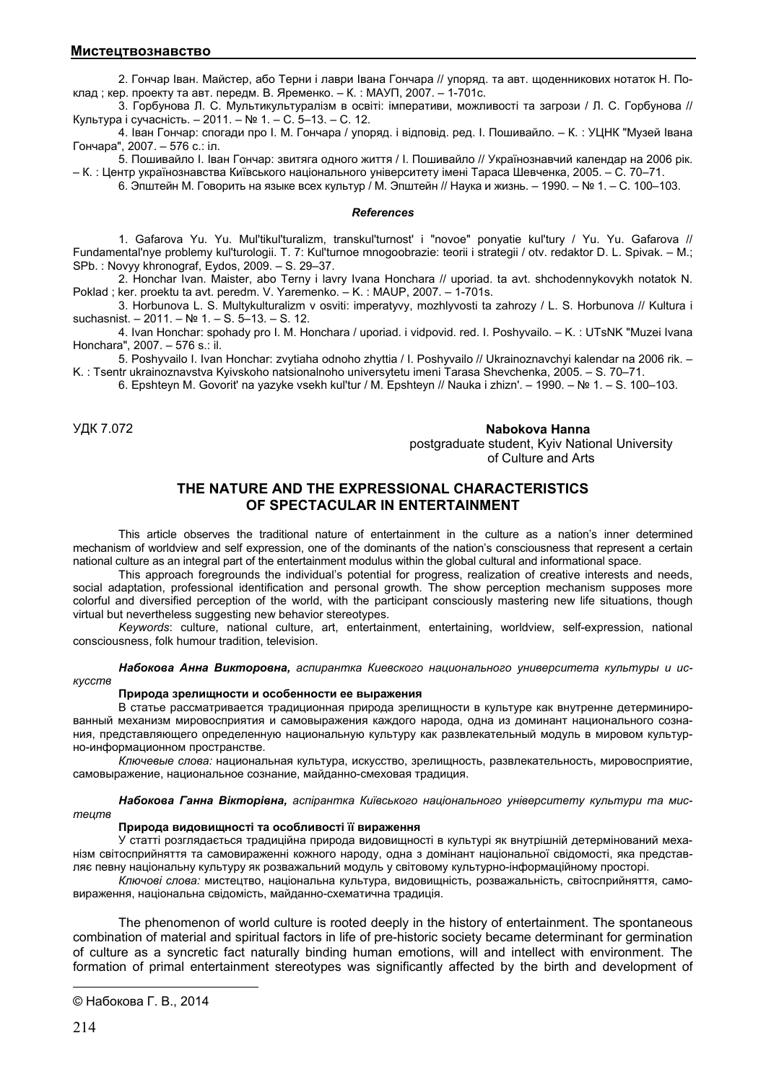2. Гончар Іван. Майстер, або Терни і лаври Івана Гончара // упоряд. та авт. щоденникових нотаток Н. Поклад ; кер. проекту та авт. передм. В. Яременко. – К. : МАУП, 2007. – 1-701с.

3. Горбунова Л. С. Мультикультуралізм в освіті: імперативи, можливості та загрози / Л. С. Горбунова // Культура і сучасність. – 2011. – № 1. – С. 5–13. – С. 12.

4. Іван Гончар: спогади про І. М. Гончара / упоряд. і відповід. ред. І. Пошивайло. – К. : УЦНК "Музей Івана Гончара", 2007. – 576 с.: іл.

5. Пошивайло І. Іван Гончар: звитяга одного життя / І. Пошивайло // Українознавчий календар на 2006 рік. – К. : Центр українознавства Київського національного університету імені Тараса Шевченка, 2005. – С. 70–71.

6. Эпштейн М. Говорить на языке всех культур / М. Эпштейн // Наука и жизнь. – 1990. – № 1. – С. 100–103.

#### *References*

1. Gafarova Yu. Yu. Mul'tikul'turalizm, transkul'turnost' i "novoe" ponyatie kul'tury / Yu. Yu. Gafarova // Fundamental'nye problemy kul'turologii. T. 7: Kul'turnoe mnogoobrazie: teorii i strategii / otv. redaktor D. L. Spivak. – M.; SPb. : Novyy khronograf, Eydos, 2009. – S. 29–37.

2. Honchar Ivan. Maister, abo Terny i lavry Ivana Honchara // uporiad. ta avt. shchodennykovykh notatok N. Poklad ; ker. proektu ta avt. peredm. V. Yaremenko. - K. : MAUP, 2007. - 1-701s.

3. Horbunova L. S. Multykulturalizm v osviti: imperatyvy, mozhlyvosti ta zahrozy / L. S. Horbunova // Kultura i suchasnist. – 2011. – № 1. – S. 5–13. – S. 12.

4. Ivan Honchar: spohady pro I. M. Honchara / uporiad. i vidpovid. red. I. Poshyvailo. – K. : UTsNK "Muzei Ivana Honchara", 2007. – 576 s.: il.

5. Poshyvailo I. Ivan Honchar: zvytiaha odnoho zhyttia / I. Poshyvailo // Ukrainoznavchyi kalendar na 2006 rik. – K. : Tsentr ukrainoznavstva Kyivskoho natsionalnoho universytetu imeni Tarasa Shevchenka, 2005. – S. 70–71.

6. Epshteyn M. Govorit' na yazyke vsekh kul'tur / M. Epshteyn // Nauka i zhizn'. – 1990. – № 1. – S. 100–103.

УДК 7.072 **Nabokova Hanna©** postgraduate student, Kyiv National University of Culture and Arts

# **THE NATURE AND THE EXPRESSIONAL CHARACTERISTICS OF SPECTACULAR IN ENTERTAINMENT**

This article observes the traditional nature of entertainment in the culture as a nation's inner determined mechanism of worldview and self expression, one of the dominants of the nation's consciousness that represent a certain national culture as an integral part of the entertainment modulus within the global cultural and informational space.

This approach foregrounds the individual's potential for progress, realization of creative interests and needs, social adaptation, professional identification and personal growth. The show perception mechanism supposes more colorful and diversified perception of the world, with the participant consciously mastering new life situations, though virtual but nevertheless suggesting new behavior stereotypes.

*Keywords*: culture, national culture, art, entertainment, entertaining, worldview, self-expression, national consciousness, folk humour tradition, television.

*Набокова Анна Викторовна, аспирантка Киевского национального университета культуры и искусств* 

### **Природа зрелищности и особенности ее выражения**

В статье рассматривается традиционная природа зрелищности в культуре как внутренне детерминированный механизм мировосприятия и самовыражения каждого народа, одна из доминант национального сознания, представляющего определенную национальную культуру как развлекательный модуль в мировом культурно-информационном пространстве.

*Ключевые слова:* национальная культура, искусство, зрелищность, развлекательность, мировосприятие, самовыражение, национальное сознание, майданно-смеховая традиция.

*Набокова Ганна Вікторівна, аспірантка Київського національного університету культури та мистецтв* 

#### **Природа видовищності та особливості її вираження**

У статті розглядається традиційна природа видовищності в культурі як внутрішній детермінований механізм світосприйняття та самовираженні кожного народу, одна з домінант національної свідомості, яка представляє певну національну культуру як розважальний модуль у світовому культурно-інформаційному просторі.

*Ключові слова:* мистецтво, національна культура, видовищність, розважальність, світосприйняття, самовираження, національна свідомість, майданно-схематична традиція.

The phenomenon of world culture is rooted deeply in the history of entertainment. The spontaneous combination of material and spiritual factors in life of pre-historic society became determinant for germination of culture as a syncretic fact naturally binding human emotions, will and intellect with environment. The formation of primal entertainment stereotypes was significantly affected by the birth and development of

 $\overline{a}$ 

<sup>©</sup> Набокова Г. В., 2014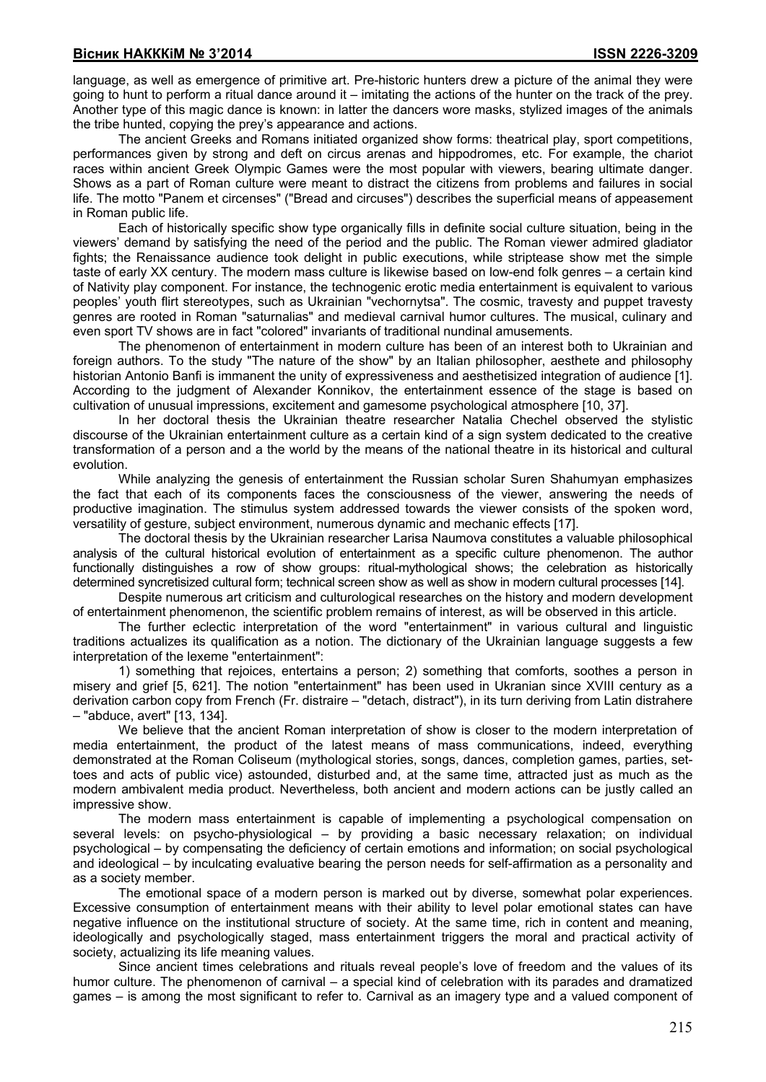language, as well as emergence of primitive art. Pre-historic hunters drew a picture of the animal they were going to hunt to perform a ritual dance around it – imitating the actions of the hunter on the track of the prey. Another type of this magic dance is known: in latter the dancers wore masks, stylized images of the animals the tribe hunted, copying the prey's appearance and actions.

The ancient Greeks and Romans initiated organized show forms: theatrical play, sport competitions, performances given by strong and deft on circus arenas and hippodromes, etc. For example, the chariot races within ancient Greek Olympic Games were the most popular with viewers, bearing ultimate danger. Shows as a part of Roman culture were meant to distract the citizens from problems and failures in social life. The motto "Panem et circenses" ("Bread and circuses") describes the superficial means of appeasement in Roman public life.

Each of historically specific show type organically fills in definite social culture situation, being in the viewers' demand by satisfying the need of the period and the public. The Roman viewer admired gladiator fights; the Renaissance audience took delight in public executions, while striptease show met the simple taste of early XX century. The modern mass culture is likewise based on low-end folk genres – a certain kind of Nativity play component. For instance, the technogenic erotic media entertainment is equivalent to various peoples' youth flirt stereotypes, such as Ukrainian "vechornytsa". The cosmic, travesty and puppet travesty genres are rooted in Roman "saturnalias" and medieval carnival humor cultures. The musical, culinary and even sport TV shows are in fact "colored" invariants of traditional nundinal amusements.

The phenomenon of entertainment in modern culture has been of an interest both to Ukrainian and foreign authors. To the study "The nature of the show" by an Italian philosopher, aesthete and philosophy historian Antonio Banfi is immanent the unity of expressiveness and aesthetisized integration of audience [1]. According to the judgment of Alexander Konnikov, the entertainment essence of the stage is based on cultivation of unusual impressions, excitement and gamesome psychological atmosphere [10, 37].

In her doctoral thesis the Ukrainian theatre researcher Natalia Chechel observed the stylistic discourse of the Ukrainian entertainment culture as a certain kind of a sign system dedicated to the creative transformation of a person and a the world by the means of the national theatre in its historical and cultural evolution.

While analyzing the genesis of entertainment the Russian scholar Suren Shahumyan emphasizes the fact that each of its components faces the consciousness of the viewer, answering the needs of productive imagination. The stimulus system addressed towards the viewer consists of the spoken word, versatility of gesture, subject environment, numerous dynamic and mechanic effects [17].

The doctoral thesis by the Ukrainian researcher Larisa Naumova constitutes a valuable philosophical analysis of the cultural historical evolution of entertainment as a specific culture phenomenon. The author functionally distinguishes a row of show groups: ritual-mythological shows; the celebration as historically determined syncretisized cultural form; technical screen show as well as show in modern cultural processes [14].

Despite numerous art criticism and culturological researches on the history and modern development of entertainment phenomenon, the scientific problem remains of interest, as will be observed in this article.

The further eclectic interpretation of the word "entertainment" in various cultural and linguistic traditions actualizes its qualification as a notion. The dictionary of the Ukrainian language suggests a few interpretation of the lexeme "entertainment":

1) something that rejoices, entertains a person; 2) something that comforts, soothes a person in misery and grief [5, 621]. The notion "entertainment" has been used in Ukranian since XVIII century as a derivation carbon copy from French (Fr. distraire – "detach, distract"), in its turn deriving from Latin distrahere – "abduce, avert" [13, 134].

We believe that the ancient Roman interpretation of show is closer to the modern interpretation of media entertainment, the product of the latest means of mass communications, indeed, everything demonstrated at the Roman Coliseum (mythological stories, songs, dances, completion games, parties, settoes and acts of public vice) astounded, disturbed and, at the same time, attracted just as much as the modern ambivalent media product. Nevertheless, both ancient and modern actions can be justly called an impressive show.

The modern mass entertainment is capable of implementing a psychological compensation on several levels: on psycho-physiological – by providing a basic necessary relaxation; on individual psychological – by compensating the deficiency of certain emotions and information; on social psychological and ideological – by inculcating evaluative bearing the person needs for self-affirmation as a personality and as a society member.

The emotional space of a modern person is marked out by diverse, somewhat polar experiences. Excessive consumption of entertainment means with their ability to level polar emotional states can have negative influence on the institutional structure of society. At the same time, rich in content and meaning, ideologically and psychologically staged, mass entertainment triggers the moral and practical activity of society, actualizing its life meaning values.

Since ancient times celebrations and rituals reveal people's love of freedom and the values of its humor culture. The phenomenon of carnival – a special kind of celebration with its parades and dramatized games – is among the most significant to refer to. Carnival as an imagery type and a valued component of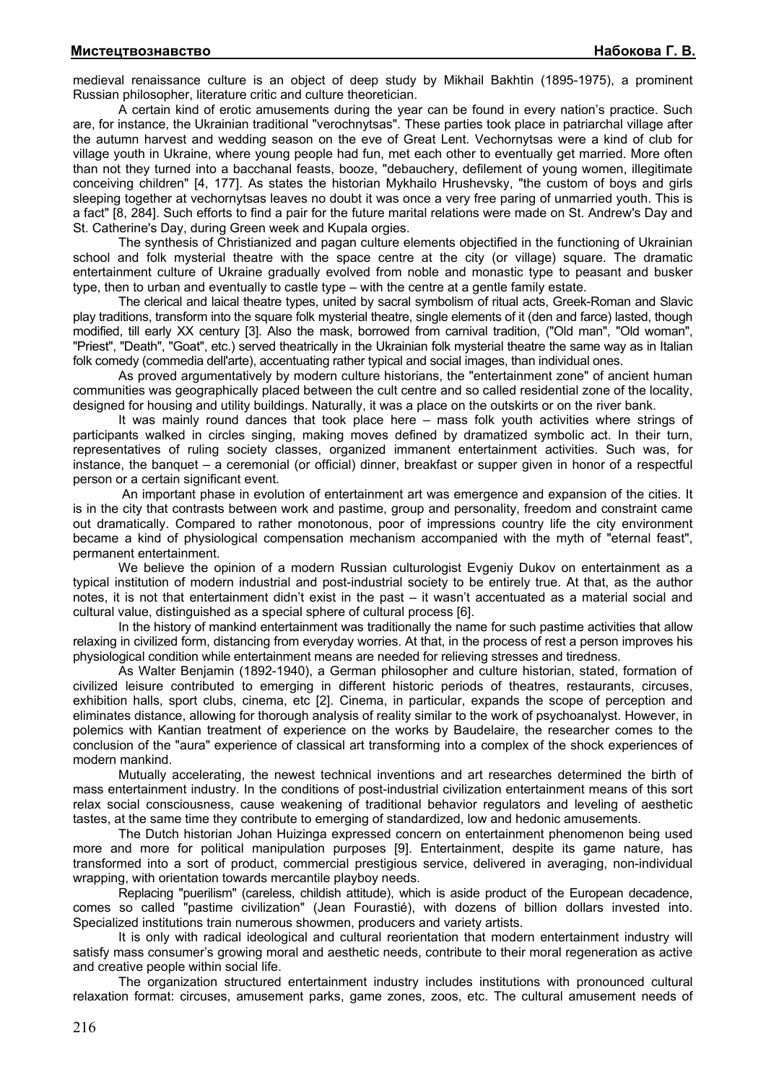medieval renaissance culture is an object of deep study by Mikhail Bakhtin (1895-1975), a prominent Russian philosopher, literature critic and culture theoretician.

A certain kind of erotic amusements during the year can be found in every nation's practice. Such are, for instance, the Ukrainian traditional "verochnytsas". These parties took place in patriarchal village after the autumn harvest and wedding season on the eve of Great Lent. Vechornytsas were a kind of club for village youth in Ukraine, where young people had fun, met each other to eventually get married. More often than not they turned into a bacchanal feasts, booze, "debauchery, defilement of young women, illegitimate conceiving children" [4, 177]. As states the historian Mykhailo Hrushevsky, "the custom of boys and girls sleeping together at vechornytsas leaves no doubt it was once a very free paring of unmarried youth. This is a fact" [8, 284]. Such efforts to find a pair for the future marital relations were made on St. Andrew's Day and St. Catherine's Day, during Green week and Kupala orgies.

The synthesis of Christianized and pagan culture elements objectified in the functioning of Ukrainian school and folk mysterial theatre with the space centre at the city (or village) square. The dramatic entertainment culture of Ukraine gradually evolved from noble and monastic type to peasant and busker type, then to urban and eventually to castle type – with the centre at a gentle family estate.

The clerical and laical theatre types, united by sacral symbolism of ritual acts, Greek-Roman and Slavic play traditions, transform into the square folk mysterial theatre, single elements of it (den and farce) lasted, though modified, till early XX century [3]. Also the mask, borrowed from carnival tradition, ("Old man", "Old woman", "Priest", "Death", "Goat", etc.) served theatrically in the Ukrainian folk mysterial theatre the same way as in Italian folk comedy (commedia dell'arte), accentuating rather typical and social images, than individual ones.

As proved argumentatively by modern culture historians, the "entertainment zone" of ancient human communities was geographically placed between the cult centre and so called residential zone of the locality, designed for housing and utility buildings. Naturally, it was a place on the outskirts or on the river bank.

It was mainly round dances that took place here – mass folk youth activities where strings of participants walked in circles singing, making moves defined by dramatized symbolic act. In their turn, representatives of ruling society classes, organized immanent entertainment activities. Such was, for instance, the banquet – a ceremonial (or official) dinner, breakfast or supper given in honor of a respectful person or a certain significant event.

 An important phase in evolution of entertainment art was emergence and expansion of the cities. It is in the city that contrasts between work and pastime, group and personality, freedom and constraint came out dramatically. Compared to rather monotonous, poor of impressions country life the city environment became a kind of physiological compensation mechanism accompanied with the myth of "eternal feast", permanent entertainment.

We believe the opinion of a modern Russian culturologist Evgeniy Dukov on entertainment as a typical institution of modern industrial and post-industrial society to be entirely true. At that, as the author notes, it is not that entertainment didn't exist in the past – it wasn't accentuated as a material social and cultural value, distinguished as a special sphere of cultural process [6].

In the history of mankind entertainment was traditionally the name for such pastime activities that allow relaxing in civilized form, distancing from everyday worries. At that, in the process of rest a person improves his physiological condition while entertainment means are needed for relieving stresses and tiredness.

As Walter Benjamin (1892-1940), a German philosopher and culture historian, stated, formation of civilized leisure contributed to emerging in different historic periods of theatres, restaurants, circuses, exhibition halls, sport clubs, cinema, etc [2]. Cinema, in particular, expands the scope of perception and eliminates distance, allowing for thorough analysis of reality similar to the work of psychoanalyst. However, in polemics with Kantian treatment of experience on the works by Baudelaire, the researcher comes to the conclusion of the "aura" experience of classical art transforming into a complex of the shock experiences of modern mankind.

Mutually accelerating, the newest technical inventions and art researches determined the birth of mass entertainment industry. In the conditions of post-industrial civilization entertainment means of this sort relax social consciousness, cause weakening of traditional behavior regulators and leveling of aesthetic tastes, at the same time they contribute to emerging of standardized, low and hedonic amusements.

The Dutch historian Johan Huizinga expressed concern on entertainment phenomenon being used more and more for political manipulation purposes [9]. Entertainment, despite its game nature, has transformed into a sort of product, commercial prestigious service, delivered in averaging, non-individual wrapping, with orientation towards mercantile playboy needs.

Replacing "puerilism" (careless, childish attitude), which is aside product of the European decadence, comes so called "pastime civilization" (Jean Fourastié), with dozens of billion dollars invested into. Specialized institutions train numerous showmen, producers and variety artists.

It is only with radical ideological and cultural reorientation that modern entertainment industry will satisfy mass consumer's growing moral and aesthetic needs, contribute to their moral regeneration as active and creative people within social life.

The organization structured entertainment industry includes institutions with pronounced cultural relaxation format: circuses, amusement parks, game zones, zoos, etc. The cultural amusement needs of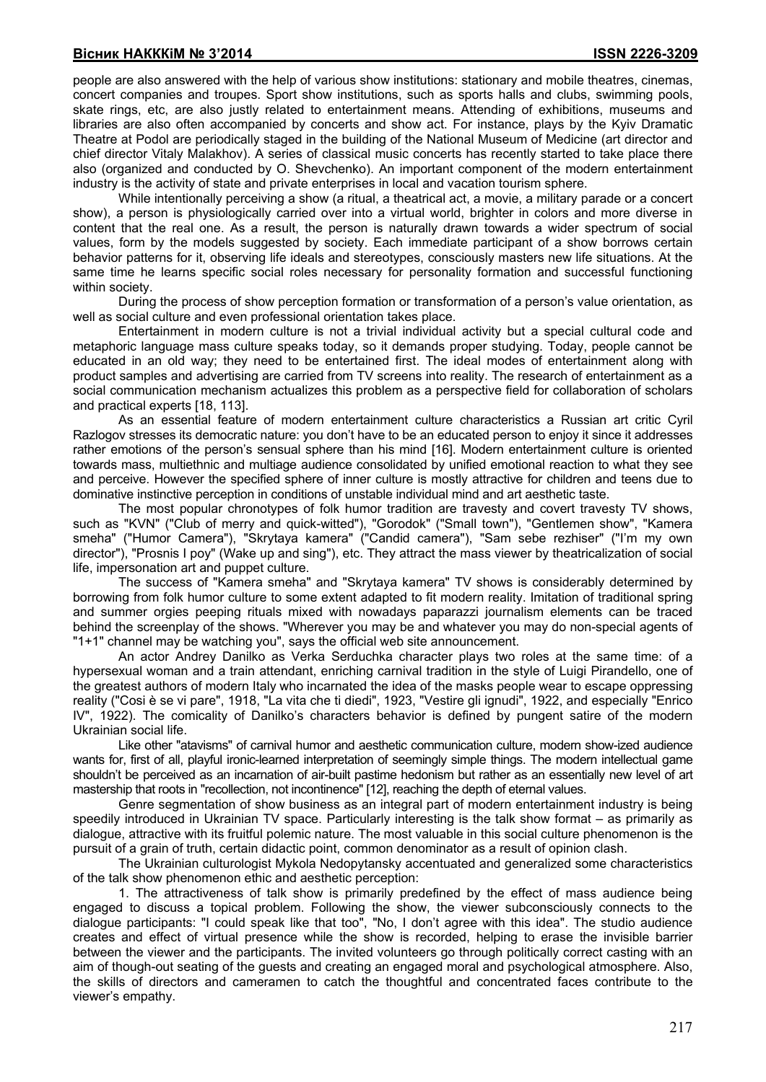people are also answered with the help of various show institutions: stationary and mobile theatres, cinemas, concert companies and troupes. Sport show institutions, such as sports halls and clubs, swimming pools, skate rings, etc, are also justly related to entertainment means. Attending of exhibitions, museums and libraries are also often accompanied by concerts and show act. For instance, plays by the Kyiv Dramatic Theatre at Podol are periodically staged in the building of the National Museum of Medicine (art director and chief director Vitaly Malakhov). A series of classical music concerts has recently started to take place there also (organized and conducted by O. Shevchenko). An important component of the modern entertainment industry is the activity of state and private enterprises in local and vacation tourism sphere.

While intentionally perceiving a show (a ritual, a theatrical act, a movie, a military parade or a concert show), a person is physiologically carried over into a virtual world, brighter in colors and more diverse in content that the real one. As a result, the person is naturally drawn towards a wider spectrum of social values, form by the models suggested by society. Each immediate participant of a show borrows certain behavior patterns for it, observing life ideals and stereotypes, consciously masters new life situations. At the same time he learns specific social roles necessary for personality formation and successful functioning within society.

During the process of show perception formation or transformation of a person's value orientation, as well as social culture and even professional orientation takes place.

Entertainment in modern culture is not a trivial individual activity but a special cultural code and metaphoric language mass culture speaks today, so it demands proper studying. Today, people cannot be educated in an old way; they need to be entertained first. The ideal modes of entertainment along with product samples and advertising are carried from TV screens into reality. The research of entertainment as a social communication mechanism actualizes this problem as a perspective field for collaboration of scholars and practical experts [18, 113].

As an essential feature of modern entertainment culture characteristics a Russian art critic Cyril Razlogov stresses its democratic nature: you don't have to be an educated person to enjoy it since it addresses rather emotions of the person's sensual sphere than his mind [16]. Modern entertainment culture is oriented towards mass, multiethnic and multiage audience consolidated by unified emotional reaction to what they see and perceive. However the specified sphere of inner culture is mostly attractive for children and teens due to dominative instinctive perception in conditions of unstable individual mind and art aesthetic taste.

The most popular chronotypes of folk humor tradition are travesty and covert travesty TV shows, such as "KVN" ("Club of merry and quick-witted"), "Gorodok" ("Small town"), "Gentlemen show", "Kamera smeha" ("Humor Camera"), "Skrytaya kamera" ("Candid camera"), "Sam sebe rezhiser" ("I'm my own director"), "Prosnis I poy" (Wake up and sing"), etc. They attract the mass viewer by theatricalization of social life, impersonation art and puppet culture.

The success of "Kamera smeha" and "Skrytaya kamera" TV shows is considerably determined by borrowing from folk humor culture to some extent adapted to fit modern reality. Imitation of traditional spring and summer orgies peeping rituals mixed with nowadays paparazzi journalism elements can be traced behind the screenplay of the shows. "Wherever you may be and whatever you may do non-special agents of "1+1" channel may be watching you", says the official web site announcement.

An actor Andrey Danilko as Verka Serduchka character plays two roles at the same time: of a hypersexual woman and a train attendant, enriching carnival tradition in the style of Luigi Pirandello, one of the greatest authors of modern Italy who incarnated the idea of the masks people wear to escape oppressing reality ("Cosi è se vi pare", 1918, "La vita che ti diedi", 1923, "Vestire gli ignudi", 1922, and especially "Enrico IV", 1922). The comicality of Danilko's characters behavior is defined by pungent satire of the modern Ukrainian social life.

Like other "atavisms" of carnival humor and aesthetic communication culture, modern show-ized audience wants for, first of all, playful ironic-learned interpretation of seemingly simple things. The modern intellectual game shouldn't be perceived as an incarnation of air-built pastime hedonism but rather as an essentially new level of art mastership that roots in "recollection, not incontinence" [12], reaching the depth of eternal values.

Genre segmentation of show business as an integral part of modern entertainment industry is being speedily introduced in Ukrainian TV space. Particularly interesting is the talk show format – as primarily as dialogue, attractive with its fruitful polemic nature. The most valuable in this social culture phenomenon is the pursuit of a grain of truth, certain didactic point, common denominator as a result of opinion clash.

The Ukrainian culturologist Mykola Nedopytansky accentuated and generalized some characteristics of the talk show phenomenon ethic and aesthetic perception:

1. The attractiveness of talk show is primarily predefined by the effect of mass audience being engaged to discuss a topical problem. Following the show, the viewer subconsciously connects to the dialogue participants: "I could speak like that too", "No, I don't agree with this idea". The studio audience creates and effect of virtual presence while the show is recorded, helping to erase the invisible barrier between the viewer and the participants. The invited volunteers go through politically correct casting with an aim of though-out seating of the guests and creating an engaged moral and psychological atmosphere. Also, the skills of directors and cameramen to catch the thoughtful and concentrated faces contribute to the viewer's empathy.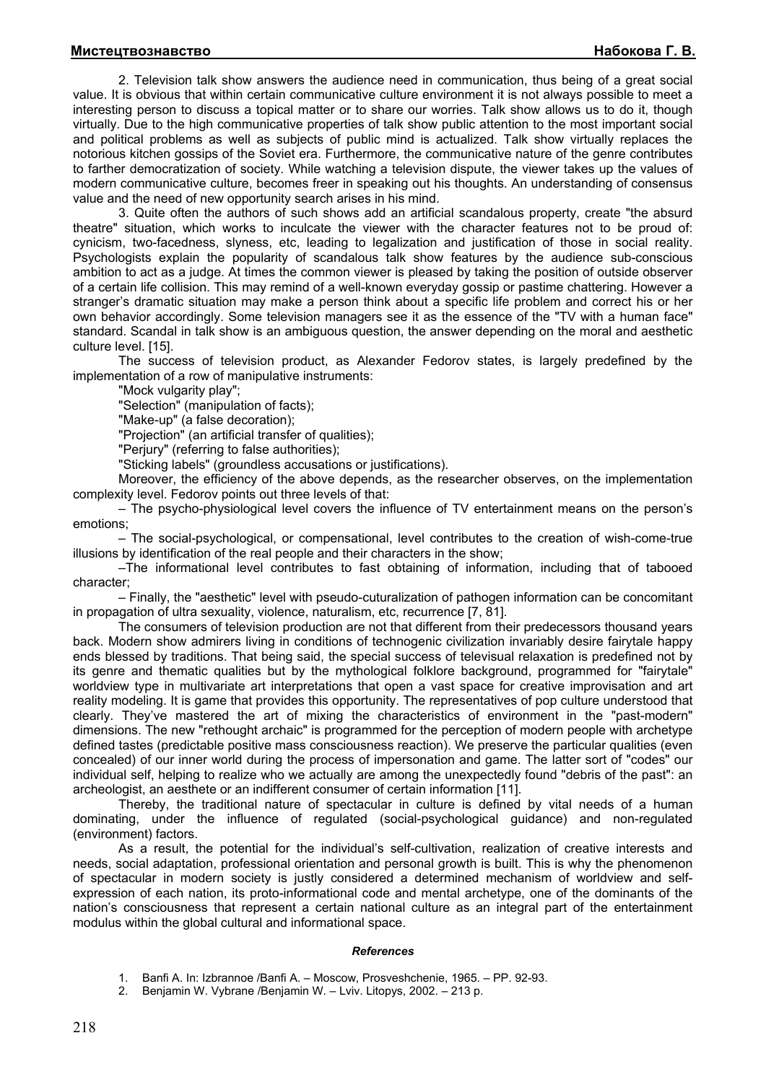2. Television talk show answers the audience need in communication, thus being of a great social value. It is obvious that within certain communicative culture environment it is not always possible to meet a interesting person to discuss a topical matter or to share our worries. Talk show allows us to do it, though virtually. Due to the high communicative properties of talk show public attention to the most important social and political problems as well as subjects of public mind is actualized. Talk show virtually replaces the notorious kitchen gossips of the Soviet era. Furthermore, the communicative nature of the genre contributes to farther democratization of society. While watching a television dispute, the viewer takes up the values of modern communicative culture, becomes freer in speaking out his thoughts. An understanding of consensus value and the need of new opportunity search arises in his mind.

3. Quite often the authors of such shows add an artificial scandalous property, create "the absurd theatre" situation, which works to inculcate the viewer with the character features not to be proud of: cynicism, two-facedness, slyness, etc, leading to legalization and justification of those in social reality. Psychologists explain the popularity of scandalous talk show features by the audience sub-conscious ambition to act as a judge. At times the common viewer is pleased by taking the position of outside observer of a certain life collision. This may remind of a well-known everyday gossip or pastime chattering. However a stranger's dramatic situation may make a person think about a specific life problem and correct his or her own behavior accordingly. Some television managers see it as the essence of the "TV with a human face" standard. Scandal in talk show is an ambiguous question, the answer depending on the moral and aesthetic culture level. [15].

The success of television product, as Alexander Fedorov states, is largely predefined by the implementation of a row of manipulative instruments:

"Mock vulgarity play";

"Selection" (manipulation of facts);

"Make-up" (a false decoration);

"Projection" (an artificial transfer of qualities);

"Perjury" (referring to false authorities);

"Sticking labels" (groundless accusations or justifications).

Moreover, the efficiency of the above depends, as the researcher observes, on the implementation complexity level. Fedorov points out three levels of that:

– The psycho-physiological level covers the influence of TV entertainment means on the person's emotions;

– The social-psychological, or compensational, level contributes to the creation of wish-come-true illusions by identification of the real people and their characters in the show;

–The informational level contributes to fast obtaining of information, including that of tabooed character;

– Finally, the "aesthetic" level with pseudo-cuturalization of pathogen information can be concomitant in propagation of ultra sexuality, violence, naturalism, etc, recurrence [7, 81].

The consumers of television production are not that different from their predecessors thousand years back. Modern show admirers living in conditions of technogenic civilization invariably desire fairytale happy ends blessed by traditions. That being said, the special success of televisual relaxation is predefined not by its genre and thematic qualities but by the mythological folklore background, programmed for "fairytale" worldview type in multivariate art interpretations that open a vast space for creative improvisation and art reality modeling. It is game that provides this opportunity. The representatives of pop culture understood that clearly. They've mastered the art of mixing the characteristics of environment in the "past-modern" dimensions. The new "rethought archaic" is programmed for the perception of modern people with archetype defined tastes (predictable positive mass consciousness reaction). We preserve the particular qualities (even concealed) of our inner world during the process of impersonation and game. The latter sort of "codes" our individual self, helping to realize who we actually are among the unexpectedly found "debris of the past": an archeologist, an aesthete or an indifferent consumer of certain information [11].

Thereby, the traditional nature of spectacular in culture is defined by vital needs of a human dominating, under the influence of regulated (social-psychological guidance) and non-regulated (environment) factors.

As a result, the potential for the individual's self-cultivation, realization of creative interests and needs, social adaptation, professional orientation and personal growth is built. This is why the phenomenon of spectacular in modern society is justly considered a determined mechanism of worldview and selfexpression of each nation, its proto-informational code and mental archetype, one of the dominants of the nation's consciousness that represent a certain national culture as an integral part of the entertainment modulus within the global cultural and informational space.

### *References*

- 1. Banfi A. In: Izbrannoe /Banfi A. Moscow, Prosveshchenie, 1965. PP. 92-93.
- 2. Benjamin W. Vybrane /Benjamin W. Lviv. Litopys, 2002. 213 p.